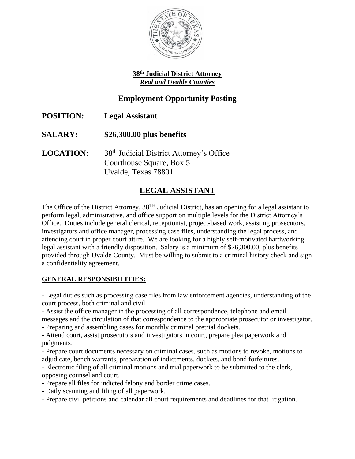

#### **38th Judicial District Attorney** *Real and Uvalde Counties*

## **Employment Opportunity Posting**

**POSITION: Legal Assistant SALARY: \$26,300.00 plus benefits** LOCATION: 38<sup>th</sup> Judicial District Attorney's Office Courthouse Square, Box 5 Uvalde, Texas 78801

# **LEGAL ASSISTANT**

The Office of the District Attorney, 38<sup>TH</sup> Judicial District, has an opening for a legal assistant to perform legal, administrative, and office support on multiple levels for the District Attorney's Office. Duties include general clerical, receptionist, project-based work, assisting prosecutors, investigators and office manager, processing case files, understanding the legal process, and attending court in proper court attire. We are looking for a highly self-motivated hardworking legal assistant with a friendly disposition. Salary is a minimum of \$26,300.00, plus benefits provided through Uvalde County. Must be willing to submit to a criminal history check and sign a confidentiality agreement.

### **GENERAL RESPONSIBILITIES:**

- Legal duties such as processing case files from law enforcement agencies, understanding of the court process, both criminal and civil.

- Assist the office manager in the processing of all correspondence, telephone and email messages and the circulation of that correspondence to the appropriate prosecutor or investigator.

- Preparing and assembling cases for monthly criminal pretrial dockets.

- Attend court, assist prosecutors and investigators in court, prepare plea paperwork and judgments.

- Prepare court documents necessary on criminal cases, such as motions to revoke, motions to adjudicate, bench warrants, preparation of indictments, dockets, and bond forfeitures.

- Electronic filing of all criminal motions and trial paperwork to be submitted to the clerk, opposing counsel and court.

- Prepare all files for indicted felony and border crime cases.
- Daily scanning and filing of all paperwork.
- Prepare civil petitions and calendar all court requirements and deadlines for that litigation.